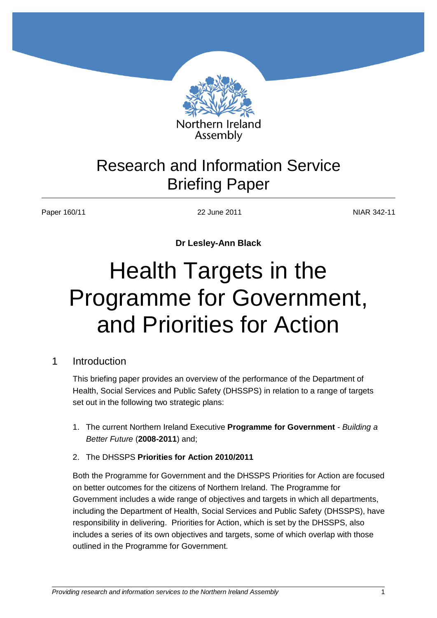

# Research and Information Service Briefing Paper

Paper 160/11 22 June 2011 NIAR 342-11

**Dr Lesley-Ann Black** 

# Health Targets in the Programme for Government, and Priorities for Action

# 1 Introduction

This briefing paper provides an overview of the performance of the Department of Health, Social Services and Public Safety (DHSSPS) in relation to a range of targets set out in the following two strategic plans:

- 1. The current Northern Ireland Executive **Programme for Government** *Building a Better Future* (**2008-2011**) and;
- 2. The DHSSPS **Priorities for Action 2010/2011**

Both the Programme for Government and the DHSSPS Priorities for Action are focused on better outcomes for the citizens of Northern Ireland. The Programme for Government includes a wide range of objectives and targets in which all departments, including the Department of Health, Social Services and Public Safety (DHSSPS), have responsibility in delivering. Priorities for Action, which is set by the DHSSPS, also includes a series of its own objectives and targets, some of which overlap with those outlined in the Programme for Government.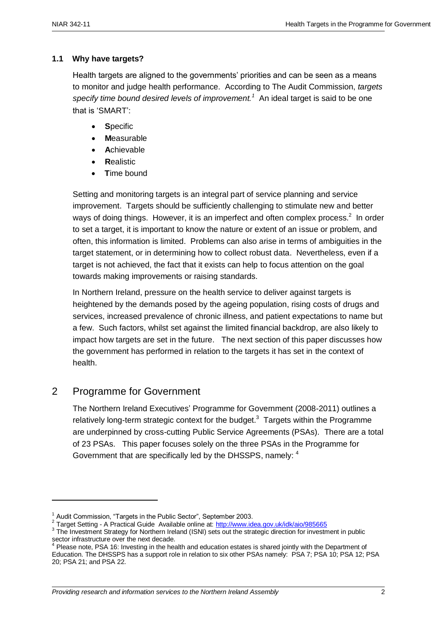#### **1.1 Why have targets?**

Health targets are aligned to the governments' priorities and can be seen as a means to monitor and judge health performance. According to The Audit Commission, *targets*  specify time bound desired levels of improvement.<sup>1</sup> An ideal target is said to be one that is "SMART":

- **S**pecific
- **M**easurable
- **A**chievable
- **R**ealistic
- **T**ime bound

Setting and monitoring targets is an integral part of service planning and service improvement. Targets should be sufficiently challenging to stimulate new and better ways of doing things. However, it is an imperfect and often complex process. $2$  In order to set a target, it is important to know the nature or extent of an issue or problem, and often, this information is limited. Problems can also arise in terms of ambiguities in the target statement, or in determining how to collect robust data. Nevertheless, even if a target is not achieved, the fact that it exists can help to focus attention on the goal towards making improvements or raising standards.

In Northern Ireland, pressure on the health service to deliver against targets is heightened by the demands posed by the ageing population, rising costs of drugs and services, increased prevalence of chronic illness, and patient expectations to name but a few. Such factors, whilst set against the limited financial backdrop, are also likely to impact how targets are set in the future. The next section of this paper discusses how the government has performed in relation to the targets it has set in the context of health.

# 2 Programme for Government

**.** 

The Northern Ireland Executives" Programme for Government (2008-2011) outlines a relatively long-term strategic context for the budget. $3$  Targets within the Programme are underpinned by cross-cutting Public Service Agreements (PSAs). There are a total of 23 PSAs. This paper focuses solely on the three PSAs in the Programme for Government that are specifically led by the DHSSPS, namely: 4

 $1$  Audit Commission, "Targets in the Public Sector", September 2003.

<sup>&</sup>lt;sup>2</sup> Target Setting - A Practical Guide Available online at:<http://www.idea.gov.uk/idk/aio/985665>

<sup>&</sup>lt;sup>3</sup> The Investment Strategy for Northern Ireland (ISNI) sets out the strategic direction for investment in public sector infrastructure over the next decade.

 $4$  Please note, PSA 16: Investing in the health and education estates is shared jointly with the Department of Education. The DHSSPS has a support role in relation to six other PSAs namely: PSA 7; PSA 10; PSA 12; PSA 20; PSA 21; and PSA 22.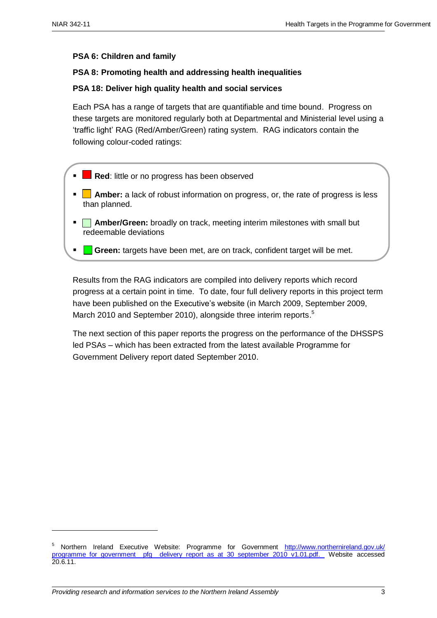1

#### **PSA 6: Children and family**

#### **PSA 8: Promoting health and addressing health inequalities**

#### **PSA 18: Deliver high quality health and social services**

Each PSA has a range of targets that are quantifiable and time bound. Progress on these targets are monitored regularly both at Departmental and Ministerial level using a "traffic light" RAG (Red/Amber/Green) rating system. RAG indicators contain the following colour-coded ratings:

- **Red:** little or no progress has been observed
- **Amber:** a lack of robust information on progress, or, the rate of progress is less than planned.
- **Amber/Green:** broadly on track, meeting interim milestones with small but redeemable deviations
- **Green:** targets have been met, are on track, confident target will be met.

Results from the RAG indicators are compiled into delivery reports which record progress at a certain point in time. To date, four full delivery reports in this project term have been published on the Executive's website (in March 2009, September 2009, March 2010 and September 2010), alongside three interim reports.<sup>5</sup>

The next section of this paper reports the progress on the performance of the DHSSPS led PSAs – which has been extracted from the latest available Programme for Government Delivery report dated September 2010.

<sup>&</sup>lt;sup>5</sup> Northern Ireland Executive Website: Programme for Government http://www.northernireland.gov.uk/ programme for government pfg delivery report as at 30 september 2010 v1.01.pdf. Website accessed 20.6.11.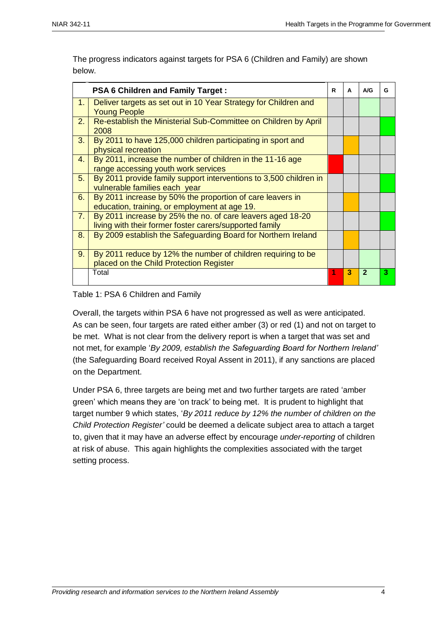The progress indicators against targets for PSA 6 (Children and Family) are shown below.

|                | <b>PSA 6 Children and Family Target:</b>                                                                              | R | A | A/G            | G |
|----------------|-----------------------------------------------------------------------------------------------------------------------|---|---|----------------|---|
| 1.1            | Deliver targets as set out in 10 Year Strategy for Children and<br><b>Young People</b>                                |   |   |                |   |
| 2.             | Re-establish the Ministerial Sub-Committee on Children by April<br>2008                                               |   |   |                |   |
| 3.             | By 2011 to have 125,000 children participating in sport and<br>physical recreation                                    |   |   |                |   |
| 4.             | By 2011, increase the number of children in the 11-16 age<br>range accessing youth work services                      |   |   |                |   |
| 5.             | By 2011 provide family support interventions to 3,500 children in<br>vulnerable families each year                    |   |   |                |   |
| 6.             | By 2011 increase by 50% the proportion of care leavers in<br>education, training, or employment at age 19.            |   |   |                |   |
| 7 <sub>1</sub> | By 2011 increase by 25% the no. of care leavers aged 18-20<br>living with their former foster carers/supported family |   |   |                |   |
| 8.             | By 2009 establish the Safeguarding Board for Northern Ireland                                                         |   |   |                |   |
| 9.             | By 2011 reduce by 12% the number of children requiring to be<br>placed on the Child Protection Register               |   |   |                |   |
|                | Total                                                                                                                 | 1 | 3 | $\overline{2}$ | з |

#### Table 1: PSA 6 Children and Family

Overall, the targets within PSA 6 have not progressed as well as were anticipated. As can be seen, four targets are rated either amber (3) or red (1) and not on target to be met. What is not clear from the delivery report is when a target that was set and not met, for example "*By 2009, establish the Safeguarding Board for Northern Ireland'* (the Safeguarding Board received Royal Assent in 2011), if any sanctions are placed on the Department.

Under PSA 6, three targets are being met and two further targets are rated "amber green" which means they are "on track" to being met. It is prudent to highlight that target number 9 which states, "*By 2011 reduce by 12% the number of children on the Child Protection Register'* could be deemed a delicate subject area to attach a target to, given that it may have an adverse effect by encourage *under-reporting* of children at risk of abuse. This again highlights the complexities associated with the target setting process.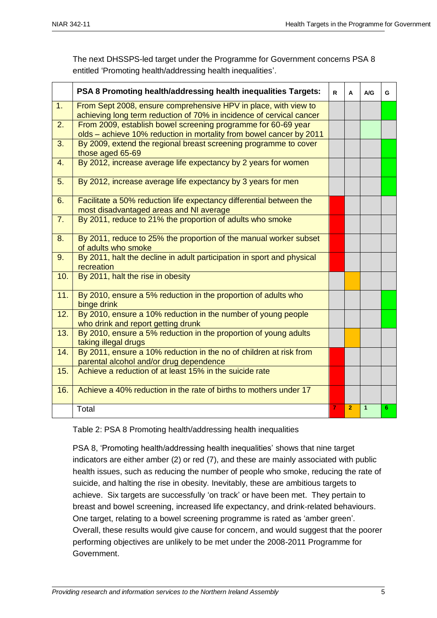|                  | PSA 8 Promoting health/addressing health inequalities Targets:                                                                          | R | A              | A/G            | G |
|------------------|-----------------------------------------------------------------------------------------------------------------------------------------|---|----------------|----------------|---|
| 1.               | From Sept 2008, ensure comprehensive HPV in place, with view to<br>achieving long term reduction of 70% in incidence of cervical cancer |   |                |                |   |
| 2.               | From 2009, establish bowel screening programme for 60-69 year<br>olds - achieve 10% reduction in mortality from bowel cancer by 2011    |   |                |                |   |
| 3.               | By 2009, extend the regional breast screening programme to cover<br>those aged 65-69                                                    |   |                |                |   |
| $\overline{4}$ . | By 2012, increase average life expectancy by 2 years for women                                                                          |   |                |                |   |
| 5.               | By 2012, increase average life expectancy by 3 years for men                                                                            |   |                |                |   |
| 6.               | Facilitate a 50% reduction life expectancy differential between the<br>most disadvantaged areas and NI average                          |   |                |                |   |
| 7.               | By 2011, reduce to 21% the proportion of adults who smoke                                                                               |   |                |                |   |
| 8.               | By 2011, reduce to 25% the proportion of the manual worker subset<br>of adults who smoke                                                |   |                |                |   |
| 9.               | By 2011, halt the decline in adult participation in sport and physical<br>recreation                                                    |   |                |                |   |
| 10.              | By 2011, halt the rise in obesity                                                                                                       |   |                |                |   |
| 11.              | By 2010, ensure a 5% reduction in the proportion of adults who<br>binge drink                                                           |   |                |                |   |
| 12.              | By 2010, ensure a 10% reduction in the number of young people<br>who drink and report getting drunk                                     |   |                |                |   |
| 13.              | By 2010, ensure a 5% reduction in the proportion of young adults<br>taking illegal drugs                                                |   |                |                |   |
| 14.              | By 2011, ensure a 10% reduction in the no of children at risk from<br>parental alcohol and/or drug dependence                           |   |                |                |   |
| 15.              | Achieve a reduction of at least 15% in the suicide rate                                                                                 |   |                |                |   |
| 16.              | Achieve a 40% reduction in the rate of births to mothers under 17                                                                       |   |                |                |   |
|                  | Total                                                                                                                                   | 7 | $\overline{2}$ | $\overline{1}$ | 6 |

The next DHSSPS-led target under the Programme for Government concerns PSA 8 entitled "Promoting health/addressing health inequalities".

Table 2: PSA 8 Promoting health/addressing health inequalities

PSA 8, 'Promoting health/addressing health inequalities' shows that nine target indicators are either amber (2) or red (7), and these are mainly associated with public health issues, such as reducing the number of people who smoke, reducing the rate of suicide, and halting the rise in obesity. Inevitably, these are ambitious targets to achieve. Six targets are successfully "on track" or have been met. They pertain to breast and bowel screening, increased life expectancy, and drink-related behaviours. One target, relating to a bowel screening programme is rated as "amber green". Overall, these results would give cause for concern, and would suggest that the poorer performing objectives are unlikely to be met under the 2008-2011 Programme for Government.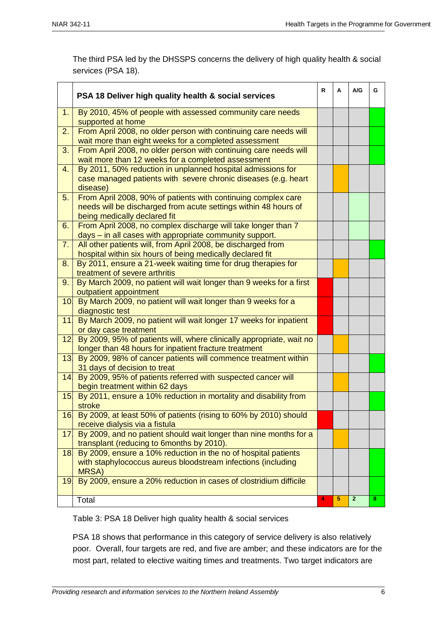The third PSA led by the DHSSPS concerns the delivery of high quality health & social services (PSA 18).

|                 | PSA 18 Deliver high quality health & social services                                                                                                             | R | A | A/G          | G |
|-----------------|------------------------------------------------------------------------------------------------------------------------------------------------------------------|---|---|--------------|---|
| 1.              | By 2010, 45% of people with assessed community care needs<br>supported at home                                                                                   |   |   |              |   |
| 2.              | From April 2008, no older person with continuing care needs will<br>wait more than eight weeks for a completed assessment                                        |   |   |              |   |
| 3.              | From April 2008, no older person with continuing care needs will<br>wait more than 12 weeks for a completed assessment                                           |   |   |              |   |
| 4.              | By 2011, 50% reduction in unplanned hospital admissions for<br>case managed patients with severe chronic diseases (e.g. heart<br>disease)                        |   |   |              |   |
| 5.              | From April 2008, 90% of patients with continuing complex care<br>needs will be discharged from acute settings within 48 hours of<br>being medically declared fit |   |   |              |   |
| 6.              | From April 2008, no complex discharge will take longer than 7<br>days - in all cases with appropriate community support.                                         |   |   |              |   |
| 7.              | All other patients will, from April 2008, be discharged from<br>hospital within six hours of being medically declared fit                                        |   |   |              |   |
| 8.              | By 2011, ensure a 21-week waiting time for drug therapies for<br>treatment of severe arthritis                                                                   |   |   |              |   |
| 9.              | By March 2009, no patient will wait longer than 9 weeks for a first<br>outpatient appointment                                                                    |   |   |              |   |
|                 | 10 By March 2009, no patient will wait longer than 9 weeks for a<br>diagnostic test                                                                              |   |   |              |   |
| 11              | By March 2009, no patient will wait longer 17 weeks for inpatient<br>or day case treatment                                                                       |   |   |              |   |
| 12              | By 2009, 95% of patients will, where clinically appropriate, wait no<br>longer than 48 hours for inpatient fracture treatment                                    |   |   |              |   |
|                 | 13. By 2009, 98% of cancer patients will commence treatment within<br>31 days of decision to treat                                                               |   |   |              |   |
| 14              | By 2009, 95% of patients referred with suspected cancer will<br>begin treatment within 62 days                                                                   |   |   |              |   |
| 15 <sup>1</sup> | By 2011, ensure a 10% reduction in mortality and disability from<br>stroke                                                                                       |   |   |              |   |
| 16.             | By 2009, at least 50% of patients (rising to 60% by 2010) should<br>receive dialysis via a fistula                                                               |   |   |              |   |
| 17.             | By 2009, and no patient should wait longer than nine months for a<br>transplant (reducing to 6months by 2010).                                                   |   |   |              |   |
| 18 <sub>1</sub> | By 2009, ensure a 10% reduction in the no of hospital patients<br>with staphylococcus aureus bloodstream infections (including<br>MRSA)                          |   |   |              |   |
| 19.             | By 2009, ensure a 20% reduction in cases of clostridium difficile                                                                                                |   |   |              |   |
|                 | Total                                                                                                                                                            | 4 | 5 | $\mathbf{2}$ | 8 |

Table 3: PSA 18 Deliver high quality health & social services

PSA 18 shows that performance in this category of service delivery is also relatively poor. Overall, four targets are red, and five are amber; and these indicators are for the most part, related to elective waiting times and treatments. Two target indicators are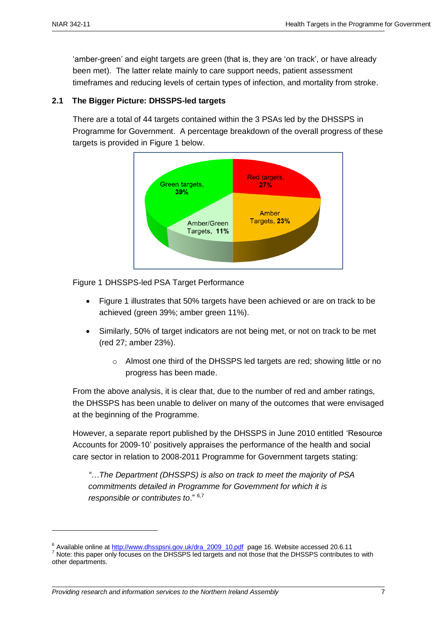1

"amber-green" and eight targets are green (that is, they are "on track", or have already been met). The latter relate mainly to care support needs, patient assessment timeframes and reducing levels of certain types of infection, and mortality from stroke.

#### **2.1 The Bigger Picture: DHSSPS-led targets**

There are a total of 44 targets contained within the 3 PSAs led by the DHSSPS in Programme for Government. A percentage breakdown of the overall progress of these targets is provided in Figure 1 below.



Figure 1 DHSSPS-led PSA Target Performance

- Figure 1 illustrates that 50% targets have been achieved or are on track to be achieved (green 39%; amber green 11%).
- Similarly, 50% of target indicators are not being met, or not on track to be met (red 27; amber 23%).
	- o Almost one third of the DHSSPS led targets are red; showing little or no progress has been made.

From the above analysis, it is clear that, due to the number of red and amber ratings, the DHSSPS has been unable to deliver on many of the outcomes that were envisaged at the beginning of the Programme.

However, a separate report published by the DHSSPS in June 2010 entitled "Resource Accounts for 2009-10" positively appraises the performance of the health and social care sector in relation to 2008-2011 Programme for Government targets stating:

*"…The Department (DHSSPS) is also on track to meet the majority of PSA commitments detailed in Programme for Government for which it is responsible or contributes to.*" 6,7

*Providing research and information services to the Northern Ireland Assembly* 7

<sup>&</sup>lt;sup>6</sup> Available online at [http://www.dhsspsni.gov.uk/dra\\_2009\\_10.pdf](http://www.dhsspsni.gov.uk/dra_2009_10.pdf) page 16. Website accessed 20.6.11

<sup>7</sup> Note: this paper only focuses on the DHSSPS led targets and not those that the DHSSPS contributes to with other departments.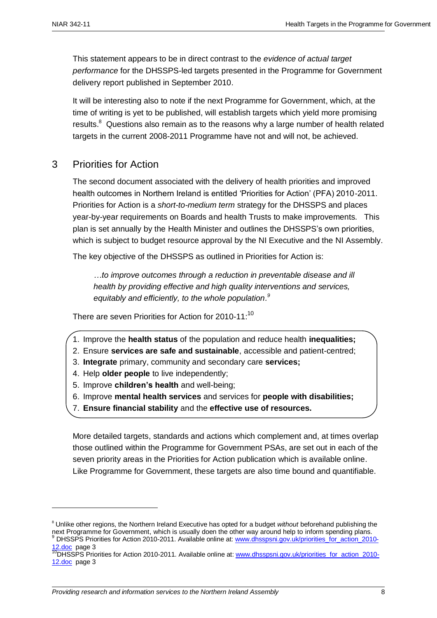This statement appears to be in direct contrast to the *evidence of actual target performance* for the DHSSPS-led targets presented in the Programme for Government delivery report published in September 2010.

It will be interesting also to note if the next Programme for Government, which, at the time of writing is yet to be published, will establish targets which yield more promising results. $8$  Questions also remain as to the reasons why a large number of health related targets in the current 2008-2011 Programme have not and will not, be achieved.

## 3 Priorities for Action

The second document associated with the delivery of health priorities and improved health outcomes in Northern Ireland is entitled "Priorities for Action" (PFA) 2010-2011. Priorities for Action is a *short-to-medium term* strategy for the DHSSPS and places year-by-year requirements on Boards and health Trusts to make improvements. This plan is set annually by the Health Minister and outlines the DHSSPS"s own priorities, which is subject to budget resource approval by the NI Executive and the NI Assembly.

The key objective of the DHSSPS as outlined in Priorities for Action is:

*…to improve outcomes through a reduction in preventable disease and ill health by providing effective and high quality interventions and services,*  equitably and efficiently, to the whole population.<sup>9</sup>

There are seven Priorities for Action for 2010-11: $^{10}$ 

- 1. Improve the **health status** of the population and reduce health **inequalities;**
- 2. Ensure **services are safe and sustainable**, accessible and patient-centred;
- 3. **Integrate** primary, community and secondary care **services;**
- 4. Help **older people** to live independently;
- 5. Improve **children's health** and well-being;
- 6. Improve **mental health services** and services for **people with disabilities;**
- 7. **Ensure financial stability** and the **effective use of resources.**

More detailed targets, standards and actions which complement and, at times overlap those outlined within the Programme for Government PSAs, are set out in each of the seven priority areas in the Priorities for Action publication which is available online. Like Programme for Government, these targets are also time bound and quantifiable.

-

<sup>8</sup> Unlike other regions, the Northern Ireland Executive has opted for a budget *without* beforehand publishing the next Programme for Government, which is usually doen the other way around help to inform spending plans. DHSSPS Priorities for Action 2010-2011. Available online at: [www.dhsspsni.gov.uk/priorities\\_for\\_action\\_2010-](http://www.dhsspsni.gov.uk/priorities_for_action_2010-12.doc)

[<sup>12.</sup>doc](http://www.dhsspsni.gov.uk/priorities_for_action_2010-12.doc) page 3

<sup>&</sup>lt;sup>10</sup>DHSSPS Priorities for Action 2010-2011. Available online at: [www.dhsspsni.gov.uk/priorities\\_for\\_action\\_2010-](http://www.dhsspsni.gov.uk/priorities_for_action_2010-12.doc) [12.doc](http://www.dhsspsni.gov.uk/priorities_for_action_2010-12.doc) page 3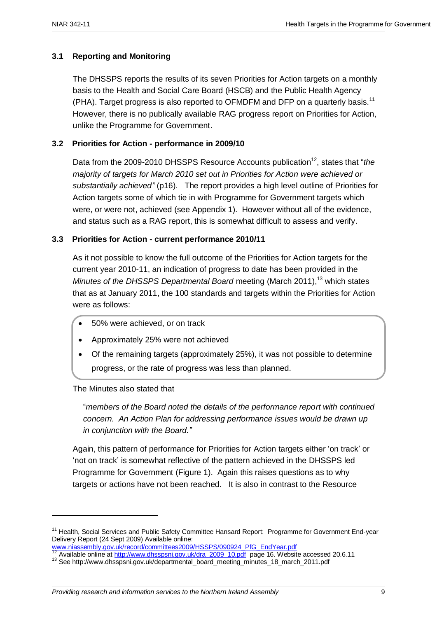#### **3.1 Reporting and Monitoring**

The DHSSPS reports the results of its seven Priorities for Action targets on a monthly basis to the Health and Social Care Board (HSCB) and the Public Health Agency (PHA). Target progress is also reported to OFMDFM and DFP on a quarterly basis.<sup>11</sup> However, there is no publically available RAG progress report on Priorities for Action, unlike the Programme for Government.

#### **3.2 Priorities for Action - performance in 2009/10**

Data from the 2009-2010 DHSSPS Resource Accounts publication<sup>12</sup>, states that "*the majority of targets for March 2010 set out in Priorities for Action were achieved or substantially achieved"* (p16). The report provides a high level outline of Priorities for Action targets some of which tie in with Programme for Government targets which were, or were not, achieved (see Appendix 1). However without all of the evidence, and status such as a RAG report, this is somewhat difficult to assess and verify.

#### **3.3 Priorities for Action - current performance 2010/11**

As it not possible to know the full outcome of the Priorities for Action targets for the current year 2010-11, an indication of progress to date has been provided in the *Minutes of the DHSSPS Departmental Board* meeting (March 2011), <sup>13</sup> which states that as at January 2011, the 100 standards and targets within the Priorities for Action were as follows:

- 50% were achieved, or on track
- Approximately 25% were not achieved
- Of the remaining targets (approximately 25%), it was not possible to determine progress, or the rate of progress was less than planned.

The Minutes also stated that

1

"*members of the Board noted the details of the performance report with continued concern. An Action Plan for addressing performance issues would be drawn up in conjunction with the Board."*

Again, this pattern of performance for Priorities for Action targets either "on track" or "not on track" is somewhat reflective of the pattern achieved in the DHSSPS led Programme for Government (Figure 1). Again this raises questions as to why targets or actions have not been reached. It is also in contrast to the Resource

<sup>&</sup>lt;sup>11</sup> Health, Social Services and Public Safety Committee Hansard Report: Programme for Government End-year Delivery Report (24 Sept 2009) Available online:

[www.niassembly.gov.uk/record/committees2009/HSSPS/090924\\_PfG\\_EndYear.pdf](http://www.niassembly.gov.uk/record/committees2009/HSSPS/090924_PfG_EndYear.pdf)

Available online a[t http://www.dhsspsni.gov.uk/dra\\_2009\\_10.pdf](http://www.dhsspsni.gov.uk/dra_2009_10.pdf) page 16. Website accessed 20.6.11

<sup>13</sup> See http://www.dhsspsni.gov.uk/departmental\_board\_meeting\_minutes\_18\_march\_2011.pdf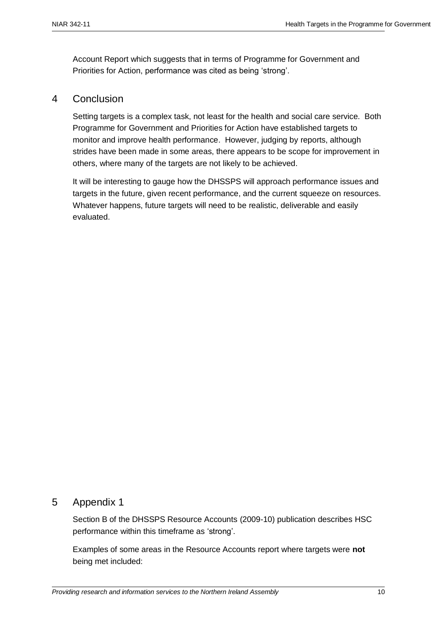Account Report which suggests that in terms of Programme for Government and Priorities for Action, performance was cited as being 'strong'.

#### 4 Conclusion

Setting targets is a complex task, not least for the health and social care service. Both Programme for Government and Priorities for Action have established targets to monitor and improve health performance. However, judging by reports, although strides have been made in some areas, there appears to be scope for improvement in others, where many of the targets are not likely to be achieved.

It will be interesting to gauge how the DHSSPS will approach performance issues and targets in the future, given recent performance, and the current squeeze on resources. Whatever happens, future targets will need to be realistic, deliverable and easily evaluated.

## 5 Appendix 1

Section B of the DHSSPS Resource Accounts (2009-10) publication describes HSC performance within this timeframe as "strong".

Examples of some areas in the Resource Accounts report where targets were **not** being met included: